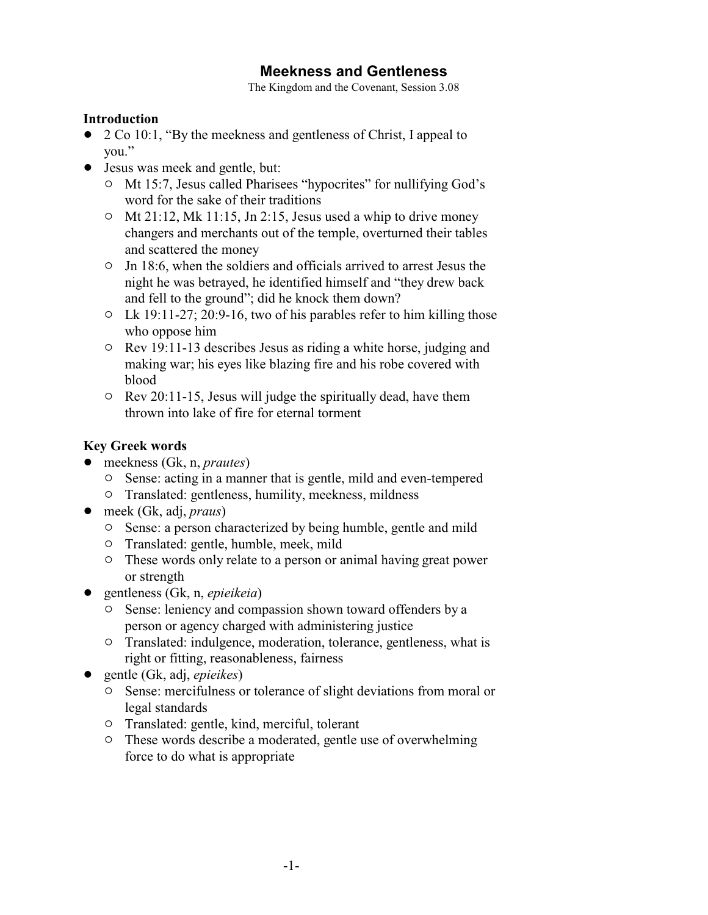# **Meekness and Gentleness**

The Kingdom and the Covenant, Session 3.08

#### **Introduction**

- 2 Co 10:1, "By the meekness and gentleness of Christ, I appeal to you."
- Jesus was meek and gentle, but:
	- <sup>o</sup> Mt 15:7, Jesus called Pharisees "hypocrites" for nullifying God's word for the sake of their traditions
	- $\circ$  Mt 21:12, Mk 11:15, Jn 2:15, Jesus used a whip to drive money changers and merchants out of the temple, overturned their tables and scattered the money
	- $\circ$  Jn 18:6, when the soldiers and officials arrived to arrest Jesus the night he was betrayed, he identified himself and "they drew back and fell to the ground"; did he knock them down?
	- $\circ$  Lk 19:11-27; 20:9-16, two of his parables refer to him killing those who oppose him
	- $\circ$  Rev 19:11-13 describes Jesus as riding a white horse, judging and making war; his eyes like blazing fire and his robe covered with blood
	- $\circ$  Rev 20:11-15, Jesus will judge the spiritually dead, have them thrown into lake of fire for eternal torment

## **Key Greek words**

- meekness (Gk, n, *prautes*)
	- $\circ$  Sense: acting in a manner that is gentle, mild and even-tempered
	- $\circ$  Translated: gentleness, humility, meekness, mildness
- meek (Gk, adj, *praus*)
	- $\circ$  Sense: a person characterized by being humble, gentle and mild
	- $\circ$  Translated: gentle, humble, meek, mild
	- $\circ$  These words only relate to a person or animal having great power or strength
- ! gentleness (Gk, n, *epieikeia*)
	- $\circ$  Sense: leniency and compassion shown toward offenders by a person or agency charged with administering justice
	- $\circ$  Translated: indulgence, moderation, tolerance, gentleness, what is right or fitting, reasonableness, fairness
- ! gentle (Gk, adj, *epieikes*)
	- $\circ$  Sense: mercifulness or tolerance of slight deviations from moral or legal standards
	- <sup>o</sup> Translated: gentle, kind, merciful, tolerant
	- <sup>o</sup> These words describe a moderated, gentle use of overwhelming force to do what is appropriate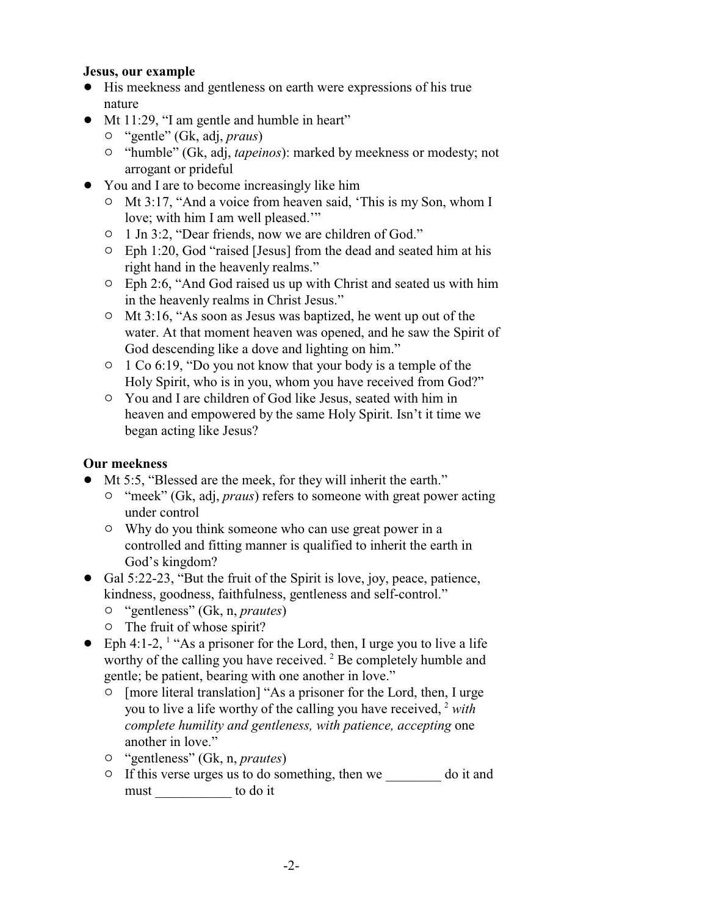#### **Jesus, our example**

- ! His meekness and gentleness on earth were expressions of his true nature
- Mt 11:29, "I am gentle and humble in heart"
	- " "gentle" (Gk, adj, *praus*)
	- <sup>o</sup> "humble" (Gk, adj, *tapeinos*): marked by meekness or modesty; not arrogant or prideful
- You and I are to become increasingly like him
	- $\circ$  Mt 3:17, "And a voice from heaven said, 'This is my Son, whom I love; with him I am well pleased.'"
	- <sup>o</sup> 1 Jn 3:2, "Dear friends, now we are children of God."
	- $\circ$  Eph 1:20, God "raised [Jesus] from the dead and seated him at his right hand in the heavenly realms."
	- $\circ$  Eph 2:6, "And God raised us up with Christ and seated us with him in the heavenly realms in Christ Jesus."
	- $\circ$  Mt 3:16, "As soon as Jesus was baptized, he went up out of the water. At that moment heaven was opened, and he saw the Spirit of God descending like a dove and lighting on him."
	- <sup>o</sup> 1 Co 6:19, "Do you not know that your body is a temple of the Holy Spirit, who is in you, whom you have received from God?"
	- $\circ$  You and I are children of God like Jesus, seated with him in heaven and empowered by the same Holy Spirit. Isn't it time we began acting like Jesus?

### **Our meekness**

- ! Mt 5:5, "Blessed are the meek, for they will inherit the earth."
	- <sup>o</sup> "meek" (Gk, adj, *praus*) refers to someone with great power acting under control
	- $\circ$  Why do you think someone who can use great power in a controlled and fitting manner is qualified to inherit the earth in God's kingdom?
- Gal 5:22-23, "But the fruit of the Spirit is love, joy, peace, patience, kindness, goodness, faithfulness, gentleness and self-control."
	- " "gentleness" (Gk, n, *prautes*)
	- $\circ$  The fruit of whose spirit?
- $\bullet$  Eph 4:1-2, <sup>1</sup> "As a prisoner for the Lord, then, I urge you to live a life worthy of the calling you have received. <sup>2</sup> Be completely humble and gentle; be patient, bearing with one another in love."
	- $\circ$  [more literal translation] "As a prisoner for the Lord, then, I urge you to live a life worthy of the calling you have received, <sup>2</sup> *with complete humility and gentleness, with patience, accepting* one another in love."
	- " "gentleness" (Gk, n, *prautes*)
	- $\circ$  If this verse urges us to do something, then we \_\_\_\_\_\_\_\_ do it and must to do it